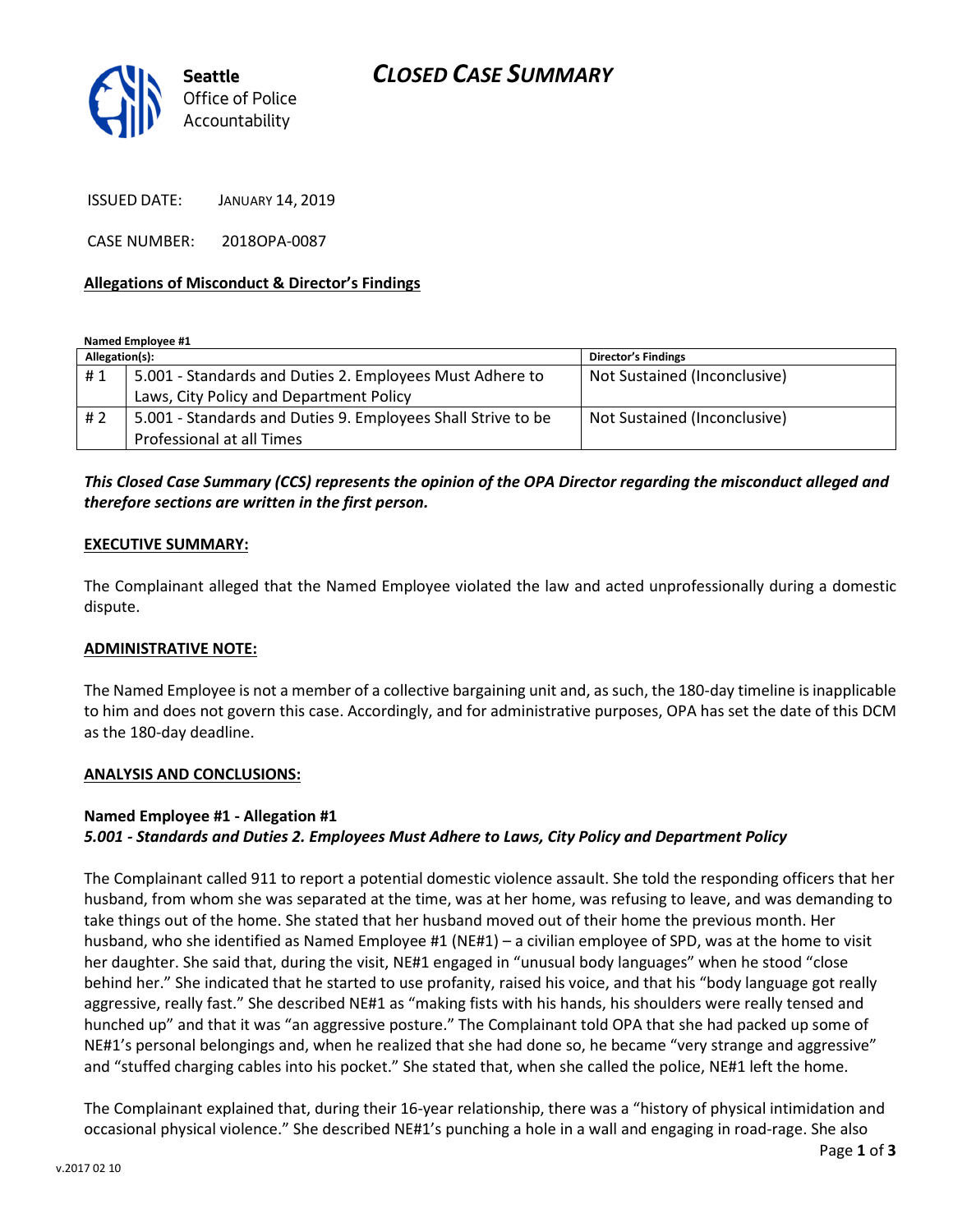

ISSUED DATE: JANUARY 14, 2019

CASE NUMBER: 2018OPA-0087

## Allegations of Misconduct & Director's Findings

Named Employee #1

| Allegation(s): |                                                              | <b>Director's Findings</b>   |
|----------------|--------------------------------------------------------------|------------------------------|
| #1             | 5.001 - Standards and Duties 2. Employees Must Adhere to     | Not Sustained (Inconclusive) |
|                | Laws, City Policy and Department Policy                      |                              |
| # 2            | 5.001 - Standards and Duties 9. Employees Shall Strive to be | Not Sustained (Inconclusive) |
|                | Professional at all Times                                    |                              |

## This Closed Case Summary (CCS) represents the opinion of the OPA Director regarding the misconduct alleged and therefore sections are written in the first person.

## EXECUTIVE SUMMARY:

The Complainant alleged that the Named Employee violated the law and acted unprofessionally during a domestic dispute.

## ADMINISTRATIVE NOTE:

The Named Employee is not a member of a collective bargaining unit and, as such, the 180-day timeline is inapplicable to him and does not govern this case. Accordingly, and for administrative purposes, OPA has set the date of this DCM as the 180-day deadline.

#### ANALYSIS AND CONCLUSIONS:

## Named Employee #1 - Allegation #1 5.001 - Standards and Duties 2. Employees Must Adhere to Laws, City Policy and Department Policy

The Complainant called 911 to report a potential domestic violence assault. She told the responding officers that her husband, from whom she was separated at the time, was at her home, was refusing to leave, and was demanding to take things out of the home. She stated that her husband moved out of their home the previous month. Her husband, who she identified as Named Employee #1 (NE#1) – a civilian employee of SPD, was at the home to visit her daughter. She said that, during the visit, NE#1 engaged in "unusual body languages" when he stood "close behind her." She indicated that he started to use profanity, raised his voice, and that his "body language got really aggressive, really fast." She described NE#1 as "making fists with his hands, his shoulders were really tensed and hunched up" and that it was "an aggressive posture." The Complainant told OPA that she had packed up some of NE#1's personal belongings and, when he realized that she had done so, he became "very strange and aggressive" and "stuffed charging cables into his pocket." She stated that, when she called the police, NE#1 left the home.

The Complainant explained that, during their 16-year relationship, there was a "history of physical intimidation and occasional physical violence." She described NE#1's punching a hole in a wall and engaging in road-rage. She also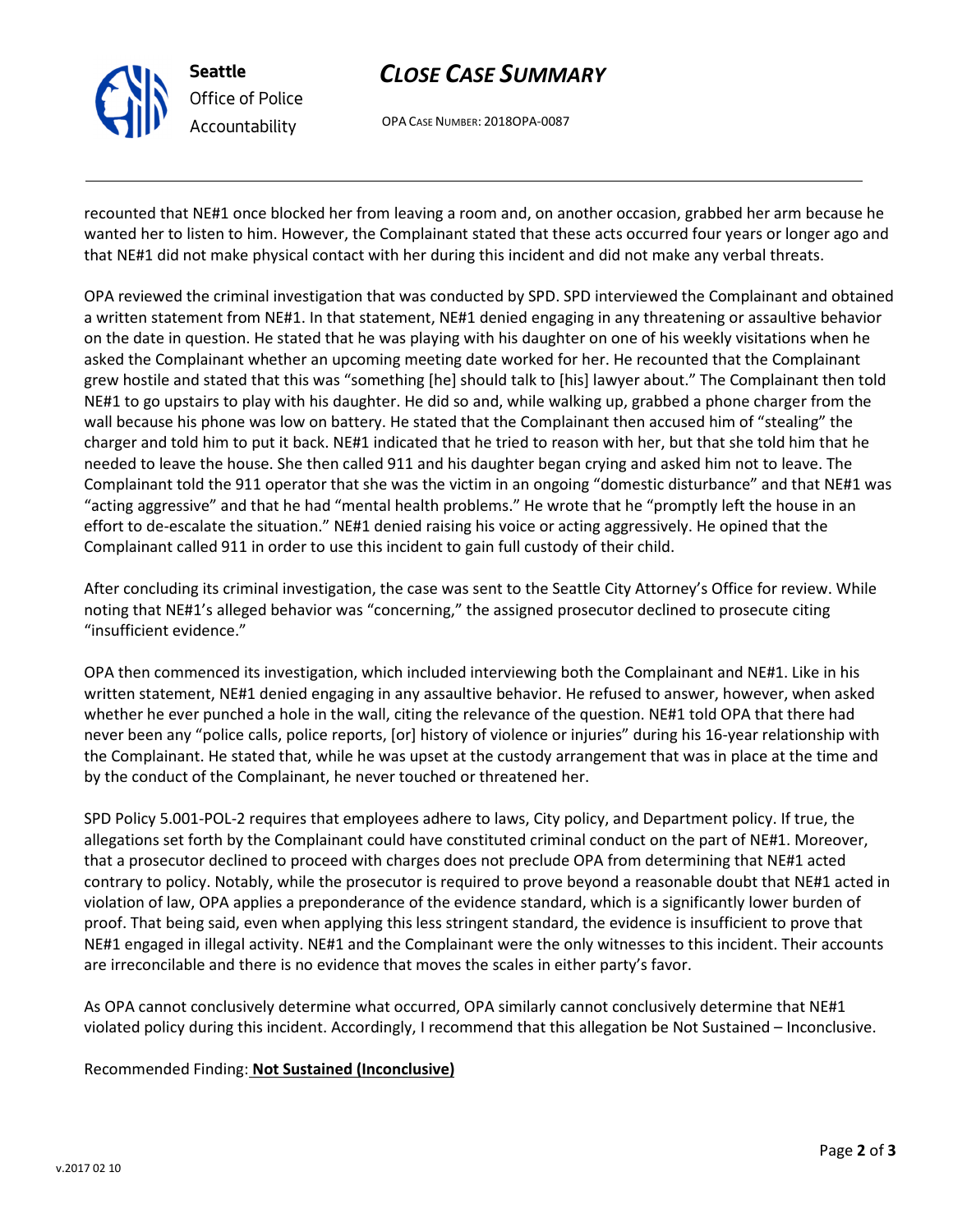

Seattle Office of Police Accountability

## CLOSE CASE SUMMARY

OPA CASE NUMBER: 2018OPA-0087

recounted that NE#1 once blocked her from leaving a room and, on another occasion, grabbed her arm because he wanted her to listen to him. However, the Complainant stated that these acts occurred four years or longer ago and that NE#1 did not make physical contact with her during this incident and did not make any verbal threats.

OPA reviewed the criminal investigation that was conducted by SPD. SPD interviewed the Complainant and obtained a written statement from NE#1. In that statement, NE#1 denied engaging in any threatening or assaultive behavior on the date in question. He stated that he was playing with his daughter on one of his weekly visitations when he asked the Complainant whether an upcoming meeting date worked for her. He recounted that the Complainant grew hostile and stated that this was "something [he] should talk to [his] lawyer about." The Complainant then told NE#1 to go upstairs to play with his daughter. He did so and, while walking up, grabbed a phone charger from the wall because his phone was low on battery. He stated that the Complainant then accused him of "stealing" the charger and told him to put it back. NE#1 indicated that he tried to reason with her, but that she told him that he needed to leave the house. She then called 911 and his daughter began crying and asked him not to leave. The Complainant told the 911 operator that she was the victim in an ongoing "domestic disturbance" and that NE#1 was "acting aggressive" and that he had "mental health problems." He wrote that he "promptly left the house in an effort to de-escalate the situation." NE#1 denied raising his voice or acting aggressively. He opined that the Complainant called 911 in order to use this incident to gain full custody of their child.

After concluding its criminal investigation, the case was sent to the Seattle City Attorney's Office for review. While noting that NE#1's alleged behavior was "concerning," the assigned prosecutor declined to prosecute citing "insufficient evidence."

OPA then commenced its investigation, which included interviewing both the Complainant and NE#1. Like in his written statement, NE#1 denied engaging in any assaultive behavior. He refused to answer, however, when asked whether he ever punched a hole in the wall, citing the relevance of the question. NE#1 told OPA that there had never been any "police calls, police reports, [or] history of violence or injuries" during his 16-year relationship with the Complainant. He stated that, while he was upset at the custody arrangement that was in place at the time and by the conduct of the Complainant, he never touched or threatened her.

SPD Policy 5.001-POL-2 requires that employees adhere to laws, City policy, and Department policy. If true, the allegations set forth by the Complainant could have constituted criminal conduct on the part of NE#1. Moreover, that a prosecutor declined to proceed with charges does not preclude OPA from determining that NE#1 acted contrary to policy. Notably, while the prosecutor is required to prove beyond a reasonable doubt that NE#1 acted in violation of law, OPA applies a preponderance of the evidence standard, which is a significantly lower burden of proof. That being said, even when applying this less stringent standard, the evidence is insufficient to prove that NE#1 engaged in illegal activity. NE#1 and the Complainant were the only witnesses to this incident. Their accounts are irreconcilable and there is no evidence that moves the scales in either party's favor.

As OPA cannot conclusively determine what occurred, OPA similarly cannot conclusively determine that NE#1 violated policy during this incident. Accordingly, I recommend that this allegation be Not Sustained – Inconclusive.

## Recommended Finding: Not Sustained (Inconclusive)